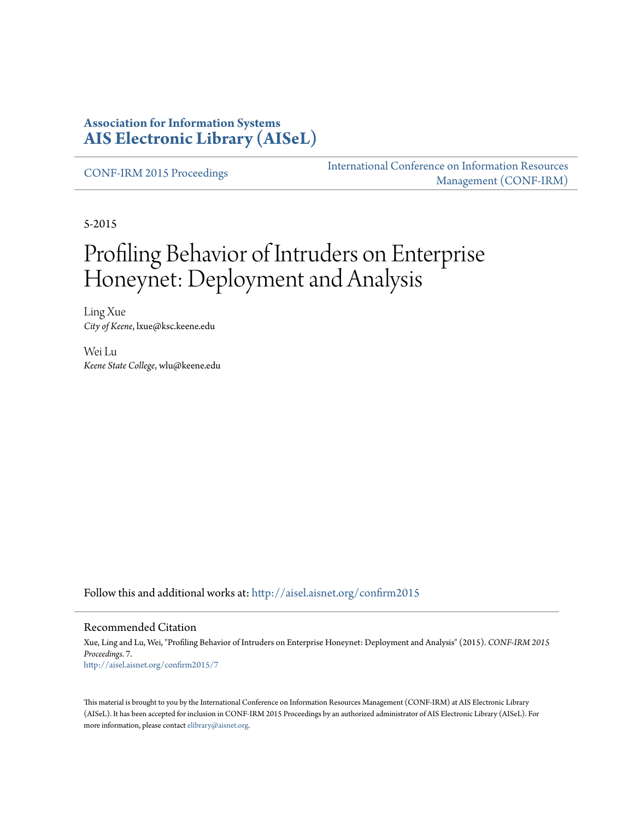#### **Association for Information Systems [AIS Electronic Library \(AISeL\)](http://aisel.aisnet.org?utm_source=aisel.aisnet.org%2Fconfirm2015%2F7&utm_medium=PDF&utm_campaign=PDFCoverPages)**

[CONF-IRM 2015 Proceedings](http://aisel.aisnet.org/confirm2015?utm_source=aisel.aisnet.org%2Fconfirm2015%2F7&utm_medium=PDF&utm_campaign=PDFCoverPages)

[International Conference on Information Resources](http://aisel.aisnet.org/conf-irm?utm_source=aisel.aisnet.org%2Fconfirm2015%2F7&utm_medium=PDF&utm_campaign=PDFCoverPages) [Management \(CONF-IRM\)](http://aisel.aisnet.org/conf-irm?utm_source=aisel.aisnet.org%2Fconfirm2015%2F7&utm_medium=PDF&utm_campaign=PDFCoverPages)

5-2015

# Profiling Behavior of Intruders on Enterprise Honeynet: Deployment and Analysis

Ling Xue *City of Keene*, lxue@ksc.keene.edu

Wei Lu *Keene State College*, wlu@keene.edu

Follow this and additional works at: [http://aisel.aisnet.org/confirm2015](http://aisel.aisnet.org/confirm2015?utm_source=aisel.aisnet.org%2Fconfirm2015%2F7&utm_medium=PDF&utm_campaign=PDFCoverPages)

#### Recommended Citation

Xue, Ling and Lu, Wei, "Profiling Behavior of Intruders on Enterprise Honeynet: Deployment and Analysis" (2015). *CONF-IRM 2015 Proceedings*. 7. [http://aisel.aisnet.org/confirm2015/7](http://aisel.aisnet.org/confirm2015/7?utm_source=aisel.aisnet.org%2Fconfirm2015%2F7&utm_medium=PDF&utm_campaign=PDFCoverPages)

This material is brought to you by the International Conference on Information Resources Management (CONF-IRM) at AIS Electronic Library (AISeL). It has been accepted for inclusion in CONF-IRM 2015 Proceedings by an authorized administrator of AIS Electronic Library (AISeL). For more information, please contact [elibrary@aisnet.org.](mailto:elibrary@aisnet.org%3E)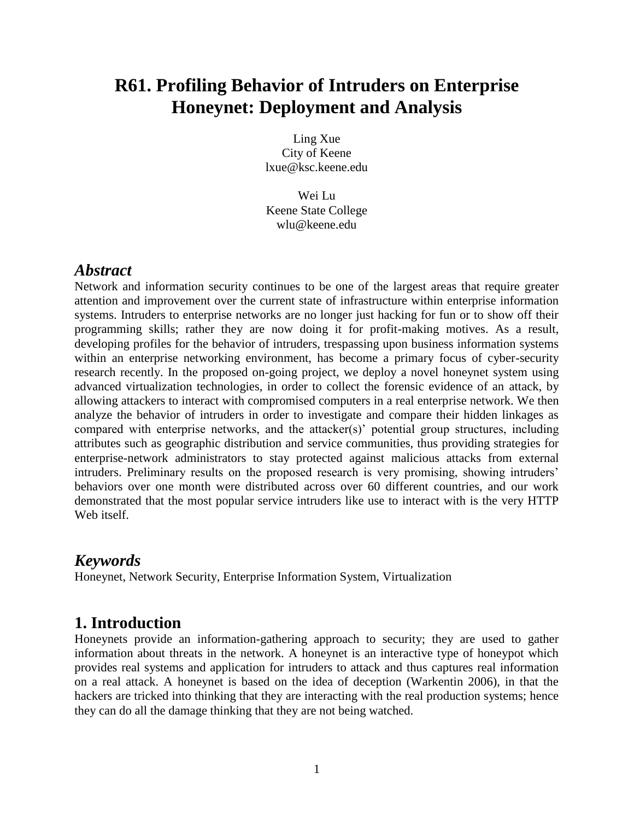## **R61. Profiling Behavior of Intruders on Enterprise Honeynet: Deployment and Analysis**

Ling Xue City of Keene lxue@ksc.keene.edu

Wei Lu Keene State College wlu@keene.edu

#### *Abstract*

Network and information security continues to be one of the largest areas that require greater attention and improvement over the current state of infrastructure within enterprise information systems. Intruders to enterprise networks are no longer just hacking for fun or to show off their programming skills; rather they are now doing it for profit-making motives. As a result, developing profiles for the behavior of intruders, trespassing upon business information systems within an enterprise networking environment, has become a primary focus of cyber-security research recently. In the proposed on-going project, we deploy a novel honeynet system using advanced virtualization technologies, in order to collect the forensic evidence of an attack, by allowing attackers to interact with compromised computers in a real enterprise network. We then analyze the behavior of intruders in order to investigate and compare their hidden linkages as compared with enterprise networks, and the attacker(s)' potential group structures, including attributes such as geographic distribution and service communities, thus providing strategies for enterprise-network administrators to stay protected against malicious attacks from external intruders. Preliminary results on the proposed research is very promising, showing intruders' behaviors over one month were distributed across over 60 different countries, and our work demonstrated that the most popular service intruders like use to interact with is the very HTTP Web itself.

#### *Keywords*

Honeynet, Network Security, Enterprise Information System, Virtualization

#### **1. Introduction**

Honeynets provide an information-gathering approach to security; they are used to gather information about threats in the network. A honeynet is an interactive type of honeypot which provides real systems and application for intruders to attack and thus captures real information on a real attack. A honeynet is based on the idea of deception (Warkentin 2006), in that the hackers are tricked into thinking that they are interacting with the real production systems; hence they can do all the damage thinking that they are not being watched.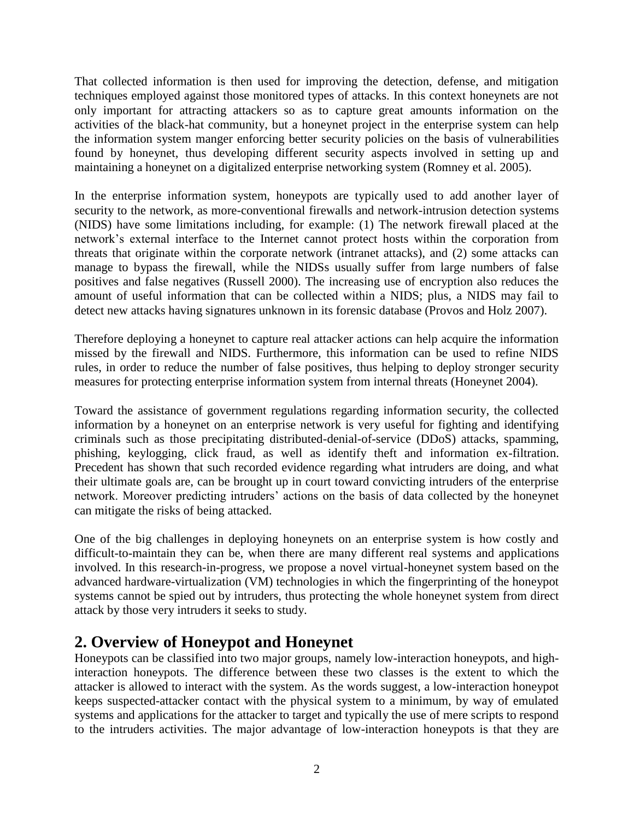That collected information is then used for improving the detection, defense, and mitigation techniques employed against those monitored types of attacks. In this context honeynets are not only important for attracting attackers so as to capture great amounts information on the activities of the black-hat community, but a honeynet project in the enterprise system can help the information system manger enforcing better security policies on the basis of vulnerabilities found by honeynet, thus developing different security aspects involved in setting up and maintaining a honeynet on a digitalized enterprise networking system (Romney et al. 2005).

In the enterprise information system, honeypots are typically used to add another layer of security to the network, as more-conventional firewalls and network-intrusion detection systems (NIDS) have some limitations including, for example: (1) The network firewall placed at the network's external interface to the Internet cannot protect hosts within the corporation from threats that originate within the corporate network (intranet attacks), and (2) some attacks can manage to bypass the firewall, while the NIDSs usually suffer from large numbers of false positives and false negatives (Russell 2000). The increasing use of encryption also reduces the amount of useful information that can be collected within a NIDS; plus, a NIDS may fail to detect new attacks having signatures unknown in its forensic database (Provos and Holz 2007).

Therefore deploying a honeynet to capture real attacker actions can help acquire the information missed by the firewall and NIDS. Furthermore, this information can be used to refine NIDS rules, in order to reduce the number of false positives, thus helping to deploy stronger security measures for protecting enterprise information system from internal threats (Honeynet 2004).

Toward the assistance of government regulations regarding information security, the collected information by a honeynet on an enterprise network is very useful for fighting and identifying criminals such as those precipitating distributed-denial-of-service (DDoS) attacks, spamming, phishing, keylogging, click fraud, as well as identify theft and information ex-filtration. Precedent has shown that such recorded evidence regarding what intruders are doing, and what their ultimate goals are, can be brought up in court toward convicting intruders of the enterprise network. Moreover predicting intruders' actions on the basis of data collected by the honeynet can mitigate the risks of being attacked.

One of the big challenges in deploying honeynets on an enterprise system is how costly and difficult-to-maintain they can be, when there are many different real systems and applications involved. In this research-in-progress, we propose a novel virtual-honeynet system based on the advanced hardware-virtualization (VM) technologies in which the fingerprinting of the honeypot systems cannot be spied out by intruders, thus protecting the whole honeynet system from direct attack by those very intruders it seeks to study.

### **2. Overview of Honeypot and Honeynet**

Honeypots can be classified into two major groups, namely low-interaction honeypots, and highinteraction honeypots. The difference between these two classes is the extent to which the attacker is allowed to interact with the system. As the words suggest, a low-interaction honeypot keeps suspected-attacker contact with the physical system to a minimum, by way of emulated systems and applications for the attacker to target and typically the use of mere scripts to respond to the intruders activities. The major advantage of low-interaction honeypots is that they are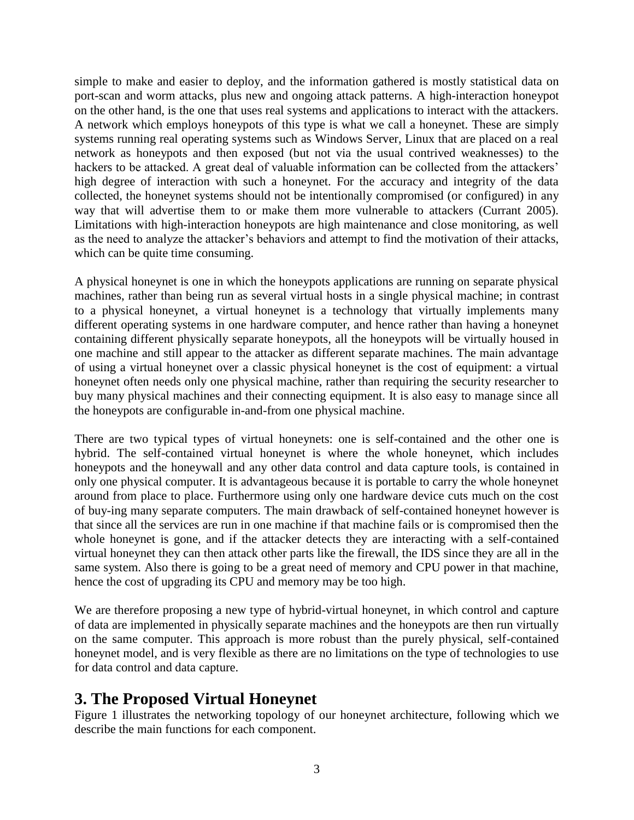simple to make and easier to deploy, and the information gathered is mostly statistical data on port-scan and worm attacks, plus new and ongoing attack patterns. A high-interaction honeypot on the other hand, is the one that uses real systems and applications to interact with the attackers. A network which employs honeypots of this type is what we call a honeynet. These are simply systems running real operating systems such as Windows Server, Linux that are placed on a real network as honeypots and then exposed (but not via the usual contrived weaknesses) to the hackers to be attacked. A great deal of valuable information can be collected from the attackers' high degree of interaction with such a honeynet. For the accuracy and integrity of the data collected, the honeynet systems should not be intentionally compromised (or configured) in any way that will advertise them to or make them more vulnerable to attackers (Currant 2005). Limitations with high-interaction honeypots are high maintenance and close monitoring, as well as the need to analyze the attacker's behaviors and attempt to find the motivation of their attacks, which can be quite time consuming.

A physical honeynet is one in which the honeypots applications are running on separate physical machines, rather than being run as several virtual hosts in a single physical machine; in contrast to a physical honeynet, a virtual honeynet is a technology that virtually implements many different operating systems in one hardware computer, and hence rather than having a honeynet containing different physically separate honeypots, all the honeypots will be virtually housed in one machine and still appear to the attacker as different separate machines. The main advantage of using a virtual honeynet over a classic physical honeynet is the cost of equipment: a virtual honeynet often needs only one physical machine, rather than requiring the security researcher to buy many physical machines and their connecting equipment. It is also easy to manage since all the honeypots are configurable in-and-from one physical machine.

There are two typical types of virtual honeynets: one is self-contained and the other one is hybrid. The self-contained virtual honeynet is where the whole honeynet, which includes honeypots and the honeywall and any other data control and data capture tools, is contained in only one physical computer. It is advantageous because it is portable to carry the whole honeynet around from place to place. Furthermore using only one hardware device cuts much on the cost of buy-ing many separate computers. The main drawback of self-contained honeynet however is that since all the services are run in one machine if that machine fails or is compromised then the whole honeynet is gone, and if the attacker detects they are interacting with a self-contained virtual honeynet they can then attack other parts like the firewall, the IDS since they are all in the same system. Also there is going to be a great need of memory and CPU power in that machine, hence the cost of upgrading its CPU and memory may be too high.

We are therefore proposing a new type of hybrid-virtual honeynet, in which control and capture of data are implemented in physically separate machines and the honeypots are then run virtually on the same computer. This approach is more robust than the purely physical, self-contained honeynet model, and is very flexible as there are no limitations on the type of technologies to use for data control and data capture.

### **3. The Proposed Virtual Honeynet**

Figure 1 illustrates the networking topology of our honeynet architecture, following which we describe the main functions for each component.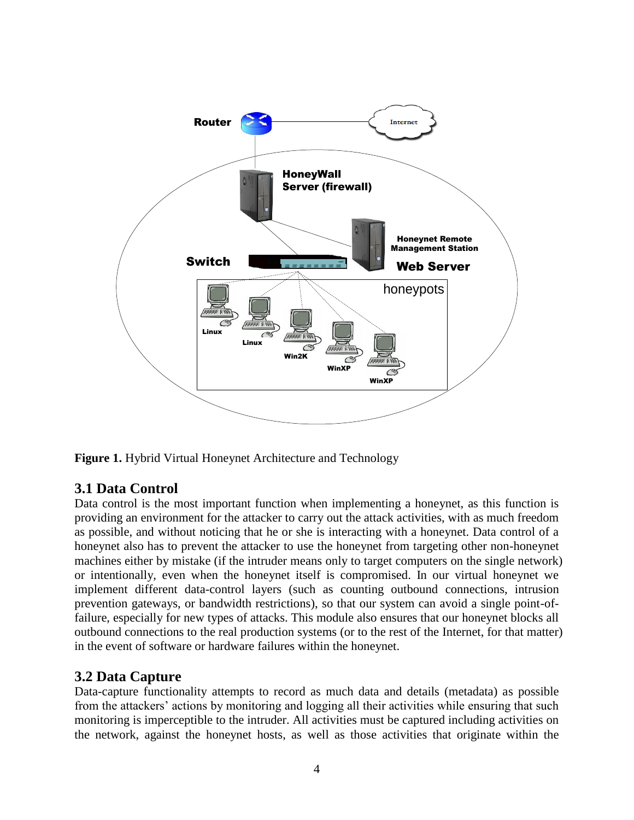

**Figure 1.** Hybrid Virtual Honeynet Architecture and Technology

#### **3.1 Data Control**

Data control is the most important function when implementing a honeynet, as this function is providing an environment for the attacker to carry out the attack activities, with as much freedom as possible, and without noticing that he or she is interacting with a honeynet. Data control of a honeynet also has to prevent the attacker to use the honeynet from targeting other non-honeynet machines either by mistake (if the intruder means only to target computers on the single network) or intentionally, even when the honeynet itself is compromised. In our virtual honeynet we implement different data-control layers (such as counting outbound connections, intrusion prevention gateways, or bandwidth restrictions), so that our system can avoid a single point-offailure, especially for new types of attacks. This module also ensures that our honeynet blocks all outbound connections to the real production systems (or to the rest of the Internet, for that matter) in the event of software or hardware failures within the honeynet.

#### **3.2 Data Capture**

Data-capture functionality attempts to record as much data and details (metadata) as possible from the attackers' actions by monitoring and logging all their activities while ensuring that such monitoring is imperceptible to the intruder. All activities must be captured including activities on the network, against the honeynet hosts, as well as those activities that originate within the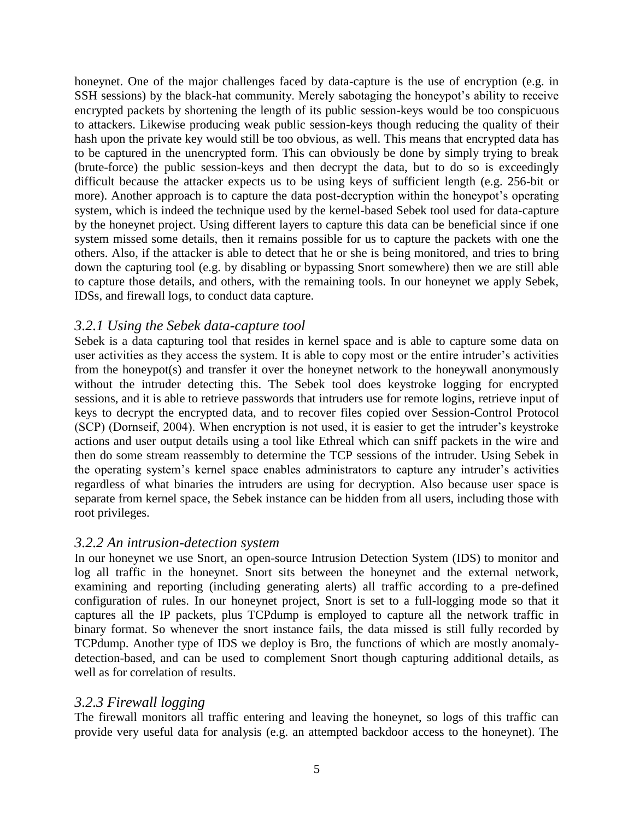honeynet. One of the major challenges faced by data-capture is the use of encryption (e.g. in SSH sessions) by the black-hat community. Merely sabotaging the honeypot's ability to receive encrypted packets by shortening the length of its public session-keys would be too conspicuous to attackers. Likewise producing weak public session-keys though reducing the quality of their hash upon the private key would still be too obvious, as well. This means that encrypted data has to be captured in the unencrypted form. This can obviously be done by simply trying to break (brute-force) the public session-keys and then decrypt the data, but to do so is exceedingly difficult because the attacker expects us to be using keys of sufficient length (e.g. 256-bit or more). Another approach is to capture the data post-decryption within the honeypot's operating system, which is indeed the technique used by the kernel-based Sebek tool used for data-capture by the honeynet project. Using different layers to capture this data can be beneficial since if one system missed some details, then it remains possible for us to capture the packets with one the others. Also, if the attacker is able to detect that he or she is being monitored, and tries to bring down the capturing tool (e.g. by disabling or bypassing Snort somewhere) then we are still able to capture those details, and others, with the remaining tools. In our honeynet we apply Sebek, IDSs, and firewall logs, to conduct data capture.

#### *3.2.1 Using the Sebek data-capture tool*

Sebek is a data capturing tool that resides in kernel space and is able to capture some data on user activities as they access the system. It is able to copy most or the entire intruder's activities from the honeypot(s) and transfer it over the honeynet network to the honeywall anonymously without the intruder detecting this. The Sebek tool does keystroke logging for encrypted sessions, and it is able to retrieve passwords that intruders use for remote logins, retrieve input of keys to decrypt the encrypted data, and to recover files copied over Session-Control Protocol (SCP) (Dornseif, 2004). When encryption is not used, it is easier to get the intruder's keystroke actions and user output details using a tool like Ethreal which can sniff packets in the wire and then do some stream reassembly to determine the TCP sessions of the intruder. Using Sebek in the operating system's kernel space enables administrators to capture any intruder's activities regardless of what binaries the intruders are using for decryption. Also because user space is separate from kernel space, the Sebek instance can be hidden from all users, including those with root privileges.

#### *3.2.2 An intrusion-detection system*

In our honeynet we use Snort, an open-source Intrusion Detection System (IDS) to monitor and log all traffic in the honeynet. Snort sits between the honeynet and the external network, examining and reporting (including generating alerts) all traffic according to a pre-defined configuration of rules. In our honeynet project, Snort is set to a full-logging mode so that it captures all the IP packets, plus TCPdump is employed to capture all the network traffic in binary format. So whenever the snort instance fails, the data missed is still fully recorded by TCPdump. Another type of IDS we deploy is Bro, the functions of which are mostly anomalydetection-based, and can be used to complement Snort though capturing additional details, as well as for correlation of results.

#### *3.2.3 Firewall logging*

The firewall monitors all traffic entering and leaving the honeynet, so logs of this traffic can provide very useful data for analysis (e.g. an attempted backdoor access to the honeynet). The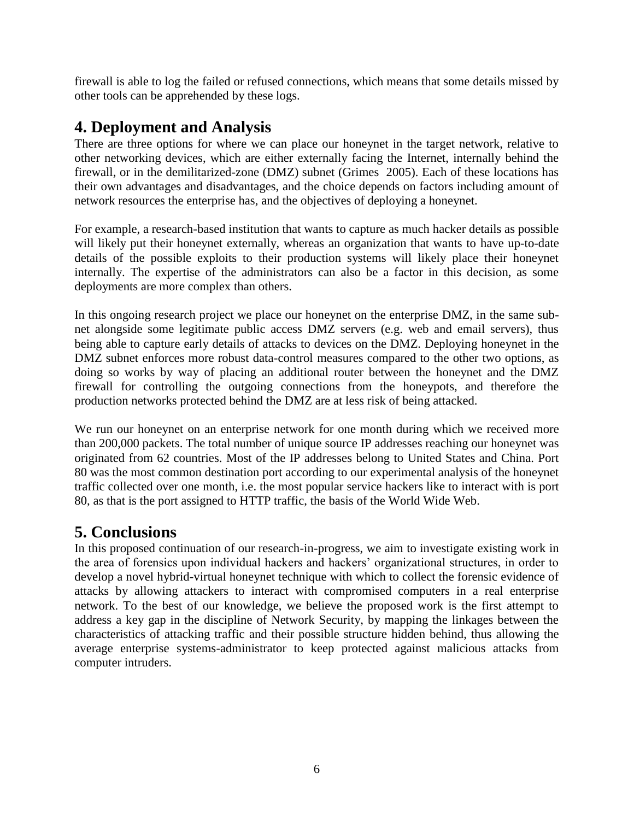firewall is able to log the failed or refused connections, which means that some details missed by other tools can be apprehended by these logs.

### **4. Deployment and Analysis**

There are three options for where we can place our honeynet in the target network, relative to other networking devices, which are either externally facing the Internet, internally behind the firewall, or in the demilitarized-zone (DMZ) subnet (Grimes 2005). Each of these locations has their own advantages and disadvantages, and the choice depends on factors including amount of network resources the enterprise has, and the objectives of deploying a honeynet.

For example, a research-based institution that wants to capture as much hacker details as possible will likely put their honeynet externally, whereas an organization that wants to have up-to-date details of the possible exploits to their production systems will likely place their honeynet internally. The expertise of the administrators can also be a factor in this decision, as some deployments are more complex than others.

In this ongoing research project we place our honeynet on the enterprise DMZ, in the same subnet alongside some legitimate public access DMZ servers (e.g. web and email servers), thus being able to capture early details of attacks to devices on the DMZ. Deploying honeynet in the DMZ subnet enforces more robust data-control measures compared to the other two options, as doing so works by way of placing an additional router between the honeynet and the DMZ firewall for controlling the outgoing connections from the honeypots, and therefore the production networks protected behind the DMZ are at less risk of being attacked.

We run our honeynet on an enterprise network for one month during which we received more than 200,000 packets. The total number of unique source IP addresses reaching our honeynet was originated from 62 countries. Most of the IP addresses belong to United States and China. Port 80 was the most common destination port according to our experimental analysis of the honeynet traffic collected over one month, i.e. the most popular service hackers like to interact with is port 80, as that is the port assigned to HTTP traffic, the basis of the World Wide Web.

### **5. Conclusions**

In this proposed continuation of our research-in-progress, we aim to investigate existing work in the area of forensics upon individual hackers and hackers' organizational structures, in order to develop a novel hybrid-virtual honeynet technique with which to collect the forensic evidence of attacks by allowing attackers to interact with compromised computers in a real enterprise network. To the best of our knowledge, we believe the proposed work is the first attempt to address a key gap in the discipline of Network Security, by mapping the linkages between the characteristics of attacking traffic and their possible structure hidden behind, thus allowing the average enterprise systems-administrator to keep protected against malicious attacks from computer intruders.